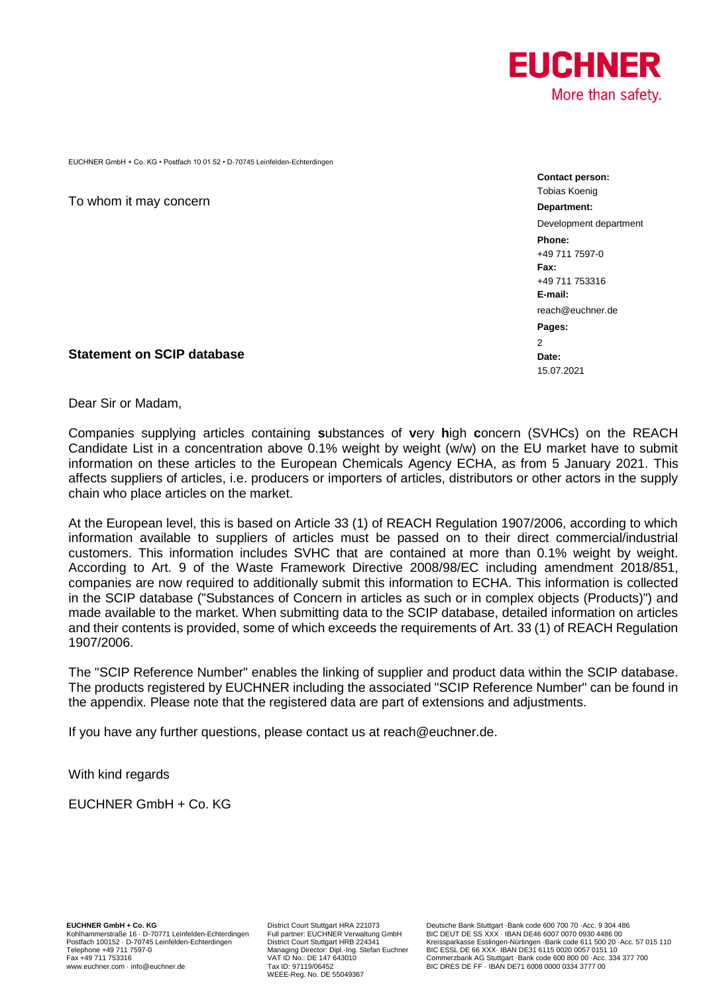

EUCHNER GmbH + Co. KG • Postfach 10 01 52 • D-70745 Leinfelden-Echterdingen

To whom it may concern

**Statement on SCIP database**

**Contact person:** Tobias Koenig **Department:** Development department **Phone:** +49 711 7597-0 **Fax:** +49 711 753316 **E-mail:** [reach@euchner.de](mailto:reach@euchner.de) **Pages:**  $\overline{2}$ **Date:** 15.07.2021

Dear Sir or Madam,

Companies supplying articles containing **s**ubstances of **v**ery **h**igh **c**oncern (SVHCs) on the REACH Candidate List in a concentration above 0.1% weight by weight (w/w) on the EU market have to submit information on these articles to the European Chemicals Agency ECHA, as from 5 January 2021. This affects suppliers of articles, i.e. producers or importers of articles, distributors or other actors in the supply chain who place articles on the market.

At the European level, this is based on Article 33 (1) of REACH Regulation 1907/2006, according to which information available to suppliers of articles must be passed on to their direct commercial/industrial customers. This information includes SVHC that are contained at more than 0.1% weight by weight. According to Art. 9 of the Waste Framework Directive 2008/98/EC including amendment 2018/851, companies are now required to additionally submit this information to ECHA. This information is collected in the SCIP database ("Substances of Concern in articles as such or in complex objects (Products)") and made available to the market. When submitting data to the SCIP database, detailed information on articles and their contents is provided, some of which exceeds the requirements of Art. 33 (1) of REACH Regulation 1907/2006.

The "SCIP Reference Number" enables the linking of supplier and product data within the SCIP database. The products registered by EUCHNER including the associated "SCIP Reference Number" can be found in the appendix. Please note that the registered data are part of extensions and adjustments.

If you have any further questions, please contact us at reach@euchner.de.

With kind regards

EUCHNER GmbH + Co. KG

WEEE-Reg. No. DE 55049367

**EUCHNER GmbH + Co. KG** District Court Stuttgart HRA 221073 Deutsche Bank Stuttgart ·Bank code 600 700 70 ·Acc. 9 304 486 BIC DEUT DE SS XXX · IBAN DE46 6007 0070 0930 4486 00 Postfach 100152 · D-70745 Leinfelden-Echterdingen District Court Stuttgart HRB 224341 Kreissparkasse Esslingen-Nürtingen ·Bank code 611 500 20 ·Acc. 57 015 110<br>Managing Director: Dipl.-Ing. Stefan E Fax +49 711 7597-0<br>
Fax +49 711 7597-0<br>
Managing Director: Dipl.-Ing. Stefan Euchner BIC ESSL DE 66 XXX-IBAN DE31 6115 0020 0057 0151 10<br>
VAT ID No.: DE 147 643010<br>
VAT ID NO.: DESSL DE FRAN DE31 6108 000 00 00 · Acc. 334 BIC DRES DE FF · IBAN DE71 6008 0000 0334 3777 00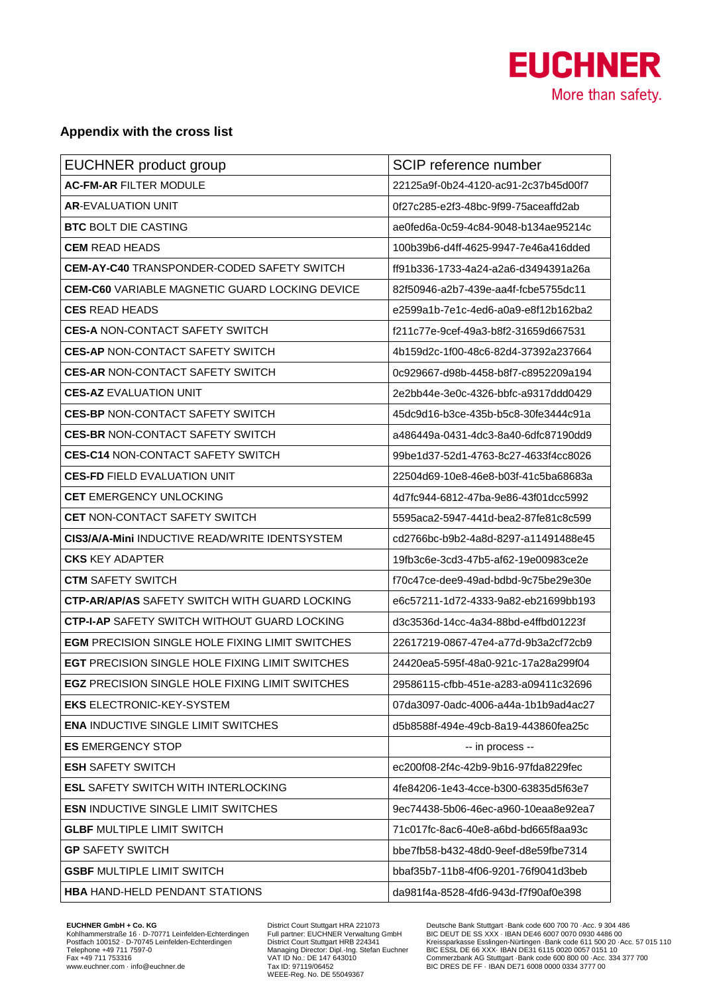

## **Appendix with the cross list**

| <b>EUCHNER product group</b>                           | SCIP reference number                 |
|--------------------------------------------------------|---------------------------------------|
| <b>AC-FM-AR FILTER MODULE</b>                          | 22125a9f-0b24-4120-ac91-2c37b45d00f7  |
| <b>AR-EVALUATION UNIT</b>                              | 0f27c285-e2f3-48bc-9f99-75aceaffd2ab  |
| <b>BTC BOLT DIE CASTING</b>                            | ae0fed6a-0c59-4c84-9048-b134ae95214c  |
| <b>CEM READ HEADS</b>                                  | 100b39b6-d4ff-4625-9947-7e46a416dded  |
| <b>CEM-AY-C40 TRANSPONDER-CODED SAFETY SWITCH</b>      | ff91b336-1733-4a24-a2a6-d3494391a26a  |
| <b>CEM-C60</b> VARIABLE MAGNETIC GUARD LOCKING DEVICE  | 82f50946-a2b7-439e-aa4f-fcbe5755dc11  |
| <b>CES READ HEADS</b>                                  | e2599a1b-7e1c-4ed6-a0a9-e8f12b162ba2  |
| <b>CES-A NON-CONTACT SAFETY SWITCH</b>                 | f211c77e-9cef-49a3-b8f2-31659d667531  |
| <b>CES-AP NON-CONTACT SAFETY SWITCH</b>                | 4b159d2c-1f00-48c6-82d4-37392a237664  |
| <b>CES-AR NON-CONTACT SAFETY SWITCH</b>                | 0c929667-d98b-4458-b8f7-c8952209a194  |
| <b>CES-AZ EVALUATION UNIT</b>                          | 2e2bb44e-3e0c-4326-bbfc-a9317ddd0429  |
| <b>CES-BP NON-CONTACT SAFETY SWITCH</b>                | 45dc9d16-b3ce-435b-b5c8-30fe3444c91a  |
| <b>CES-BR NON-CONTACT SAFETY SWITCH</b>                | a486449a-0431-4dc3-8a40-6dfc87190dd9  |
| <b>CES-C14 NON-CONTACT SAFETY SWITCH</b>               | 99be1d37-52d1-4763-8c27-4633f4cc8026  |
| <b>CES-FD FIELD EVALUATION UNIT</b>                    | 22504d69-10e8-46e8-b03f-41c5ba68683a  |
| <b>CET EMERGENCY UNLOCKING</b>                         | 4d7fc944-6812-47ba-9e86-43f01dcc5992  |
| <b>CET NON-CONTACT SAFETY SWITCH</b>                   | 5595aca2-5947-441d-bea2-87fe81c8c599  |
| <b>CIS3/A/A-Mini INDUCTIVE READ/WRITE IDENTSYSTEM</b>  | cd2766bc-b9b2-4a8d-8297-a11491488e45  |
| <b>CKS KEY ADAPTER</b>                                 | 19fb3c6e-3cd3-47b5-af62-19e00983ce2e  |
| <b>CTM SAFETY SWITCH</b>                               | f70c47ce-dee9-49ad-bdbd-9c75be29e30e  |
| <b>CTP-AR/AP/AS SAFETY SWITCH WITH GUARD LOCKING</b>   | e6c57211-1d72-4333-9a82-eb21699bb193  |
| <b>CTP-I-AP SAFETY SWITCH WITHOUT GUARD LOCKING</b>    | d3c3536d-14cc-4a34-88bd-e4ffbd01223f  |
| <b>EGM PRECISION SINGLE HOLE FIXING LIMIT SWITCHES</b> | 22617219-0867-47e4-a77d-9b3a2cf72cb9  |
| <b>EGT PRECISION SINGLE HOLE FIXING LIMIT SWITCHES</b> | 24420ea5-595f-48a0-921c-17a28a299f04  |
| <b>EGZ PRECISION SINGLE HOLE FIXING LIMIT SWITCHES</b> | 29586115-cfbb-451e-a283-a09411c32696  |
| <b>EKS ELECTRONIC-KEY-SYSTEM</b>                       | 07da3097-0adc-4006-a44a-1b1b9ad4ac27  |
| <b>ENA INDUCTIVE SINGLE LIMIT SWITCHES</b>             | d5b8588f-494e-49cb-8a19-443860fea25c  |
| <b>ES EMERGENCY STOP</b>                               | -- in process --                      |
| <b>ESH SAFETY SWITCH</b>                               | ec200f08-2f4c-42b9-9b16-97fda8229fec  |
| <b>ESL SAFETY SWITCH WITH INTERLOCKING</b>             | 4fe84206-1e43-4cce-b300-63835d5f63e7  |
| <b>ESN INDUCTIVE SINGLE LIMIT SWITCHES</b>             | 9ec74438-5b06-46ec-a960-10eaa8e92ea7  |
| <b>GLBF MULTIPLE LIMIT SWITCH</b>                      | 71c017fc-8ac6-40e8-a6bd-bd665f8aa93c  |
| <b>GP SAFETY SWITCH</b>                                | bbe7fb58-b432-48d0-9eef-d8e59fbe7314  |
| <b>GSBF MULTIPLE LIMIT SWITCH</b>                      | bbaf35b7-11b8-4f06-9201-76f9041d3beb_ |
| <b>HBA HAND-HELD PENDANT STATIONS</b>                  | da981f4a-8528-4fd6-943d-f7f90af0e398  |

EUCHNER GmbH + Co. KG<br>Kohlhammerstraße 16 · D-70771 Leinfelden-Echterdingen<br>Postfach 100152 · D-70745 Leinfelden-Echterdingen<br>Telephone +49 711 753716<br>www.euchner.com · info@euchner.de

District Court Stuttgart HRA 221073<br>Full partner: EUCHNER Verwaltung GmbH<br>District Court Stuttgart HRB 224341<br>Managing Director: Dipl.-Ing. Stefan Euchner<br>VAT ID No.: DE 147 643010<br>Tax ID: 97119/06452<br>WEEE-Reg. No. DE 5504

EUCHNER GmbH + Co. KG<br>
Molhammerstraße 16 - District Court Stuttgart HRA 221073<br>
Nothlammerstraße 16 - Dr.70771 Leinfelden-Echterdingen Full partner: EUCHNER Verwaltung GmbH BIC DEUT DE SS XXX - IBAN DE46 6007 0070 -Acc.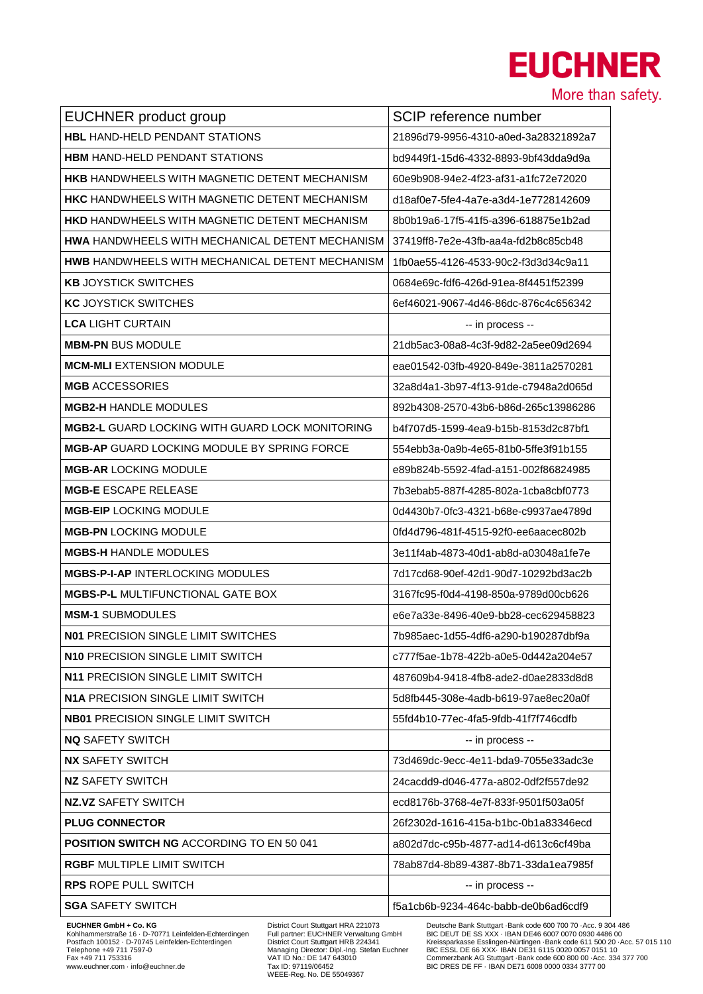## **EUCHNER**

More than safety.

| EUCHNER product group                                  | SCIP reference number                |
|--------------------------------------------------------|--------------------------------------|
| <b>HBL HAND-HELD PENDANT STATIONS</b>                  | 21896d79-9956-4310-a0ed-3a28321892a7 |
| <b>HBM HAND-HELD PENDANT STATIONS</b>                  | bd9449f1-15d6-4332-8893-9bf43dda9d9a |
| <b>HKB HANDWHEELS WITH MAGNETIC DETENT MECHANISM</b>   | 60e9b908-94e2-4f23-af31-a1fc72e72020 |
| <b>HKC HANDWHEELS WITH MAGNETIC DETENT MECHANISM</b>   | d18af0e7-5fe4-4a7e-a3d4-1e7728142609 |
| <b>HKD HANDWHEELS WITH MAGNETIC DETENT MECHANISM</b>   | 8b0b19a6-17f5-41f5-a396-618875e1b2ad |
| <b>HWA HANDWHEELS WITH MECHANICAL DETENT MECHANISM</b> | 37419ff8-7e2e-43fb-aa4a-fd2b8c85cb48 |
| HWB HANDWHEELS WITH MECHANICAL DETENT MECHANISM        | 1fb0ae55-4126-4533-90c2-f3d3d34c9a11 |
| <b>KB JOYSTICK SWITCHES</b>                            | 0684e69c-fdf6-426d-91ea-8f4451f52399 |
| <b>KC JOYSTICK SWITCHES</b>                            | 6ef46021-9067-4d46-86dc-876c4c656342 |
| <b>LCA LIGHT CURTAIN</b>                               | -- in process --                     |
| <b>MBM-PN BUS MODULE</b>                               | 21db5ac3-08a8-4c3f-9d82-2a5ee09d2694 |
| <b>MCM-MLI EXTENSION MODULE</b>                        | eae01542-03fb-4920-849e-3811a2570281 |
| <b>MGB ACCESSORIES</b>                                 | 32a8d4a1-3b97-4f13-91de-c7948a2d065d |
| <b>MGB2-H HANDLE MODULES</b>                           | 892b4308-2570-43b6-b86d-265c13986286 |
| <b>MGB2-L GUARD LOCKING WITH GUARD LOCK MONITORING</b> | b4f707d5-1599-4ea9-b15b-8153d2c87bf1 |
| <b>MGB-AP GUARD LOCKING MODULE BY SPRING FORCE</b>     | 554ebb3a-0a9b-4e65-81b0-5ffe3f91b155 |
| <b>MGB-AR LOCKING MODULE</b>                           | e89b824b-5592-4fad-a151-002f86824985 |
| <b>MGB-E ESCAPE RELEASE</b>                            | 7b3ebab5-887f-4285-802a-1cba8cbf0773 |
| <b>MGB-EIP LOCKING MODULE</b>                          | 0d4430b7-0fc3-4321-b68e-c9937ae4789d |
| <b>MGB-PN LOCKING MODULE</b>                           | 0fd4d796-481f-4515-92f0-ee6aacec802b |
| <b>MGBS-H HANDLE MODULES</b>                           | 3e11f4ab-4873-40d1-ab8d-a03048a1fe7e |
| <b>MGBS-P-I-AP INTERLOCKING MODULES</b>                | 7d17cd68-90ef-42d1-90d7-10292bd3ac2b |
| <b>MGBS-P-L MULTIFUNCTIONAL GATE BOX</b>               | 3167fc95-f0d4-4198-850a-9789d00cb626 |
| <b>MSM-1 SUBMODULES</b>                                | e6e7a33e-8496-40e9-bb28-cec629458823 |
| <b>N01 PRECISION SINGLE LIMIT SWITCHES</b>             | 7b985aec-1d55-4df6-a290-b190287dbf9a |
| N10 PRECISION SINGLE LIMIT SWITCH                      | c777f5ae-1b78-422b-a0e5-0d442a204e57 |
| N11 PRECISION SINGLE LIMIT SWITCH                      | 487609b4-9418-4fb8-ade2-d0ae2833d8d8 |
| <b>N1A PRECISION SINGLE LIMIT SWITCH</b>               | 5d8fb445-308e-4adb-b619-97ae8ec20a0f |
| <b>NB01 PRECISION SINGLE LIMIT SWITCH</b>              | 55fd4b10-77ec-4fa5-9fdb-41f7f746cdfb |
| <b>NQ SAFETY SWITCH</b>                                | -- in process --                     |
| <b>NX SAFETY SWITCH</b>                                | 73d469dc-9ecc-4e11-bda9-7055e33adc3e |
| <b>NZ SAFETY SWITCH</b>                                | 24cacdd9-d046-477a-a802-0df2f557de92 |
| <b>NZ.VZ SAFETY SWITCH</b>                             | ecd8176b-3768-4e7f-833f-9501f503a05f |
| <b>PLUG CONNECTOR</b>                                  | 26f2302d-1616-415a-b1bc-0b1a83346ecd |
| <b>POSITION SWITCH NG ACCORDING TO EN 50 041</b>       | a802d7dc-c95b-4877-ad14-d613c6cf49ba |
| <b>RGBF MULTIPLE LIMIT SWITCH</b>                      | 78ab87d4-8b89-4387-8b71-33da1ea7985f |
| <b>RPS ROPE PULL SWITCH</b>                            | -- in process --                     |
| <b>SGA SAFETY SWITCH</b>                               | f5a1cb6b-9234-464c-babb-de0b6ad6cdf9 |

EUCHNER GmbH + Co. KG<br>Kohlhammerstraße 16 · D-70771 Leinfelden-Echterdingen<br>Postfach 100152 · D-70745 Leinfelden-Echterdingen<br>Telephone +49 711 753716<br>Www.euchner.com · info@euchner.de

District Court Stuttgart HRA 221073<br>Full partner: EUCHNER Verwaltung GmbH<br>District Court Stuttgart HRB 224341<br>Managing Director: Dipl.-Ing. Stefan Euchner<br>VAT ID No.: DE 147 643010<br>Tax ID: 97119/06452<br>WEEE-Reg. No. DE 5504

EUCHNER GmbH + Co. KG<br>
Molhammerstraße 16 - District Court Stuttgart HRA 221073<br>
Nothlammerstraße 16 - Dr.70771 Leinfelden-Echterdingen Full partner: EUCHNER Verwaltung GmbH BIC DEUT DE SS XXX - IBAN DE46 6007 0070 -Acc.